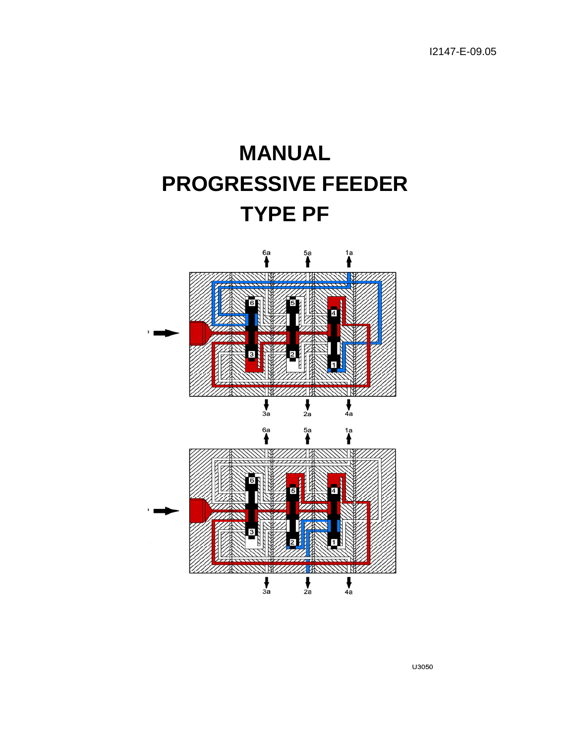

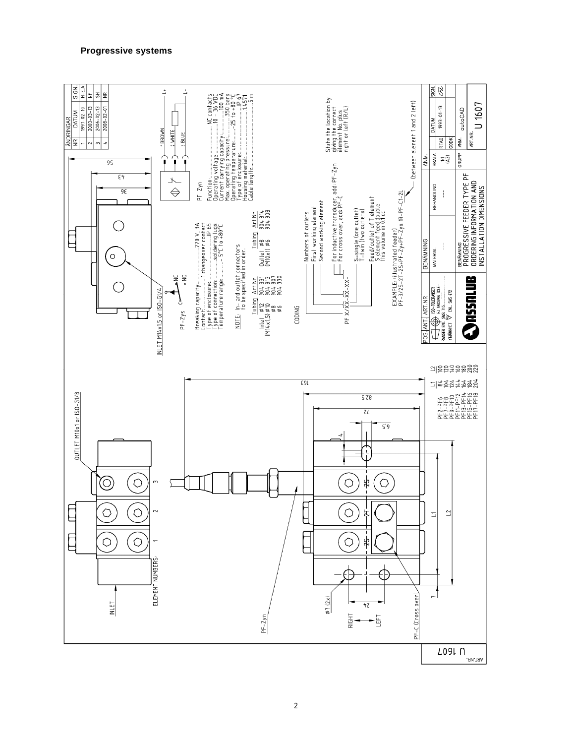# **Progressive systems**

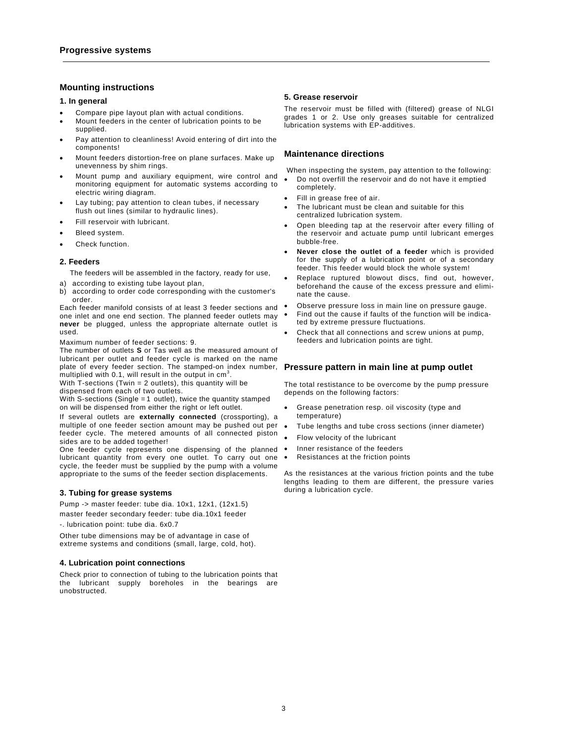# **Mounting instructions**

#### **1. In general**

- Compare pipe layout plan with actual conditions.
- Mount feeders in the center of lubrication points to be supplied.
- Pay attention to cleanliness! Avoid entering of dirt into the components!
- Mount feeders distortion-free on plane surfaces. Make up unevenness by shim rings.
- Mount pump and auxiliary equipment, wire control and monitoring equipment for automatic systems according to electric wiring diagram.
- Lay tubing; pay attention to clean tubes, if necessary flush out lines (similar to hydraulic lines).
- Fill reservoir with lubricant.
- Bleed system.
- Check function.

### **2. Feeders**

The feeders will be assembled in the factory, ready for use,

- a) according to existing tube layout plan,
- b) according to order code corresponding with the customer's order.

Each feeder manifold consists of at least 3 feeder sections and one inlet and one end section. The planned feeder outlets may **never** be plugged, unless the appropriate alternate outlet is used.

Maximum number of feeder sections: 9.

The number of outlets **S** or Tas well as the measured amount of lubricant per outlet and feeder cycle is marked on the name plate of every feeder section. The stamped-on index number, **Pressure pattern in main line at pump outlet**  multiplied with 0.1, will result in the output in  $\mathsf{cm}^3$ .

With T-sections (Twin  $= 2$  outlets), this quantity will be dispensed from each of two outlets.

With S-sections (Single = 1 outlet), twice the quantity stamped on will be dispensed from either the right or left outlet.

If several outlets are **externally connected** (crossporting), a multiple of one feeder section amount may be pushed out per feeder cycle. The metered amounts of all connected piston sides are to be added together!

One feeder cycle represents one dispensing of the planned . lubricant quantity from every one outlet. To carry out one . cycle, the feeder must be supplied by the pump with a volume appropriate to the sums of the feeder section displacements.

## **3. Tubing for grease systems**

Pump -> master feeder: tube dia. 10x1, 12x1, (12x1.5) master feeder secondary feeder: tube dia.10x1 feeder

-. lubrication point: tube dia. 6x0.7

Other tube dimensions may be of advantage in case of extreme systems and conditions (small, large, cold, hot).

### **4. Lubrication point connections**

Check prior to connection of tubing to the lubrication points that the lubricant supply boreholes in the bearings are unobstructed.

### **5. Grease reservoir**

The reservoir must be filled with (filtered) grease of NLGI grades 1 or 2. Use only greases suitable for centralized lubrication systems with EP-additives.

## **Maintenance directions**

When inspecting the system, pay attention to the following: • Do not overfill the reservoir and do not have it emptied completely.

- Fill in grease free of air.
- The lubricant must be clean and suitable for this centralized lubrication system.
- Open bleeding tap at the reservoir after every filling of the reservoir and actuate pump until lubricant emerges bubble-free.
- **Never close the outlet of a feeder** which is provided for the supply of a lubrication point or of a secondary feeder. This feeder would block the whole system!
- Replace ruptured blowout discs, find out, however, beforehand the cause of the excess pressure and eliminate the cause.
- Observe pressure loss in main line on pressure gauge.
- Find out the cause if faults of the function will be indicated by extreme pressure fluctuations.
- Check that all connections and screw unions at pump, feeders and lubrication points are tight.

The total restistance to be overcome by the pump pressure depends on the following factors:

- Grease penetration resp. oil viscosity (type and temperature)
- Tube lengths and tube cross sections (inner diameter)
- Flow velocity of the lubricant
- Inner resistance of the feeders
- Resistances at the friction points

As the resistances at the various friction points and the tube lengths leading to them are different, the pressure varies during a lubrication cycle.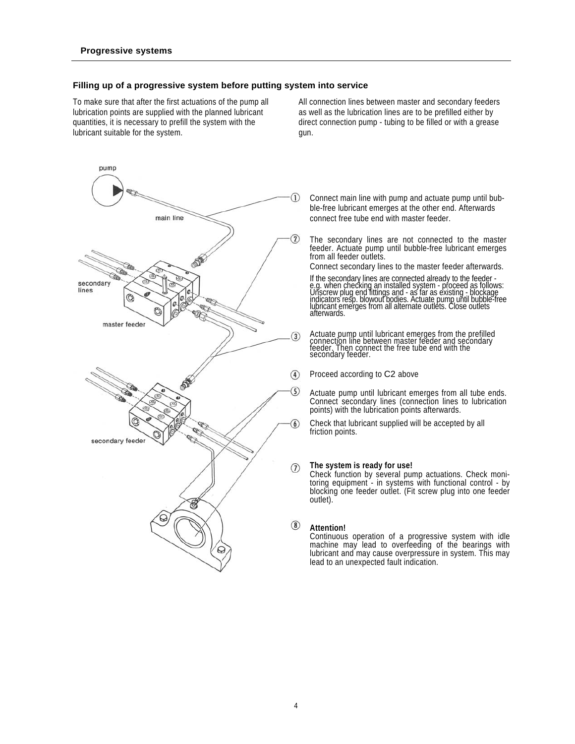# **Filling up of a progressive system before putting system into service**

lubrication points are supplied with the planned lubricant as well as the lubrication lines are to be prefilled either by lubricant suitable for the system. gun.

To make sure that after the first actuations of the pump all All connection lines between master and secondary feeders quantities, it is necessary to prefill the system with the direct connection pump - tubing to be filled or with a grease



Connect main line with pump and actuate pump until bubble-free lubricant emerges at the other end. Afterwards connect free tube end with master feeder.

The secondary lines are not connected to the master feeder. Actuate pump until bubble-free lubricant emerges from all feeder outlets.

Connect secondary lines to the master feeder afterwards.

If the secondary lines are connected already to the feeder -<br>e.g. when checking an installed system - proceed as follows:<br>Unscrew plug end fittings and - as far as existing - blockage<br>indicators resp. blowout bodies. Actua afterwards.

Actuate pump until lubricant emerges from the prefilled connection line between master feeder and secondary feeder. Then connect the free tube end with the secondary feeder.

Proceed according to C2 above

Actuate pump until lubricant emerges from all tube ends. Connect secondary lines (connection lines to lubrication points) with the lubrication points afterwards.

Check that lubricant supplied will be accepted by all friction points.

## **The system is ready for use!**

Check function by several pump actuations. Check monitoring equipment - in systems with functional control - by blocking one feeder outlet. (Fit screw plug into one feeder outlet).

# **Attention!**

Continuous operation of a progressive system with idle machine may lead to overfeeding of the bearings with lubricant and may cause overpressure in system. This may lead to an unexpected fault indication.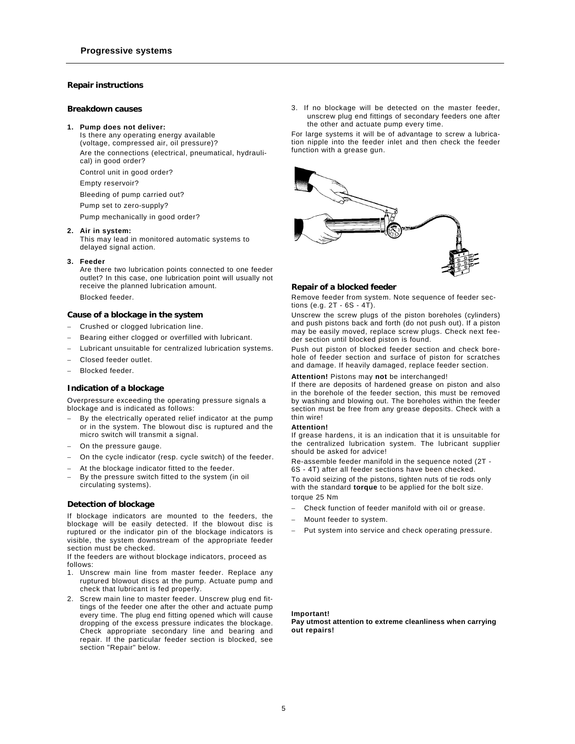## **Repair instructions**

## **Breakdown causes**

#### **1. Pump does not deliver:**

Is there any operating energy available (voltage, compressed air, oil pressure)? Are the connections (electrical, pneumatical, hydraulical) in good order?

Control unit in good order?

Empty reservoir?

Bleeding of pump carried out?

Pump set to zero-supply?

Pump mechanically in good order?

## **2. Air in system:**

This may lead in monitored automatic systems to delayed signal action.

#### **3. Feeder**

Are there two lubrication points connected to one feeder outlet? In this case, one lubrication point will usually not receive the planned lubrication amount. Blocked feeder.

# **Cause of a blockage in the system**

- − Crushed or clogged lubrication line.
- Bearing either clogged or overfilled with lubricant.
- Lubricant unsuitable for centralized lubrication systems.
- − Closed feeder outlet.
- − Blocked feeder.

### **Indication of a blockage**

Overpressure exceeding the operating pressure signals a blockage and is indicated as follows:

- By the electrically operated relief indicator at the pump or in the system. The blowout disc is ruptured and the micro switch will transmit a signal.
- On the pressure gauge.
- On the cycle indicator (resp. cycle switch) of the feeder.
- At the blockage indicator fitted to the feeder.
- By the pressure switch fitted to the system (in oil circulating systems).

## **Detection of blockage**

If blockage indicators are mounted to the feeders, the blockage will be easily detected. If the blowout disc is ruptured or the indicator pin of the blockage indicators is visible, the system downstream of the appropriate feeder section must be checked.

If the feeders are without blockage indicators, proceed as follows:

- 1. Unscrew main line from master feeder. Replace any ruptured blowout discs at the pump. Actuate pump and check that lubricant is fed properly.
- 2. Screw main line to master feeder. Unscrew plug end fittings of the feeder one after the other and actuate pump every time. The plug end fitting opened which will cause dropping of the excess pressure indicates the blockage. Check appropriate secondary line and bearing and repair. If the particular feeder section is blocked, see section "Repair" below.

3. If no blockage will be detected on the master feeder, unscrew plug end fittings of secondary feeders one after the other and actuate pump every time.

For large systems it will be of advantage to screw a lubrication nipple into the feeder inlet and then check the feeder function with a grease gun.



#### **Repair of a blocked feeder**

Remove feeder from system. Note sequence of feeder sections (e.g.  $2T - 6S - 4T$ ).

Unscrew the screw plugs of the piston boreholes (cylinders) and push pistons back and forth (do not push out). If a piston may be easily moved, replace screw plugs. Check next feeder section until blocked piston is found.

Push out piston of blocked feeder section and check borehole of feeder section and surface of piston for scratches and damage. If heavily damaged, replace feeder section.

### **Attention!** Pistons may **not** be interchanged!

If there are deposits of hardened grease on piston and also in the borehole of the feeder section, this must be removed by washing and blowing out. The boreholes within the feeder section must be free from any grease deposits. Check with a thin wire!

#### **Attention!**

If grease hardens, it is an indication that it is unsuitable for the centralized lubrication system. The lubricant supplier should be asked for advice!

Re-assemble feeder manifold in the sequence noted (2T - 6S - 4T) after all feeder sections have been checked.

To avoid seizing of the pistons, tighten nuts of tie rods only with the standard **torque** to be applied for the bolt size. torque 25 Nm

- Check function of feeder manifold with oil or grease.
- − Mount feeder to system.
- Put system into service and check operating pressure.

## **Important!**

**Pay utmost attention to extreme cleanliness when carrying out repairs!**